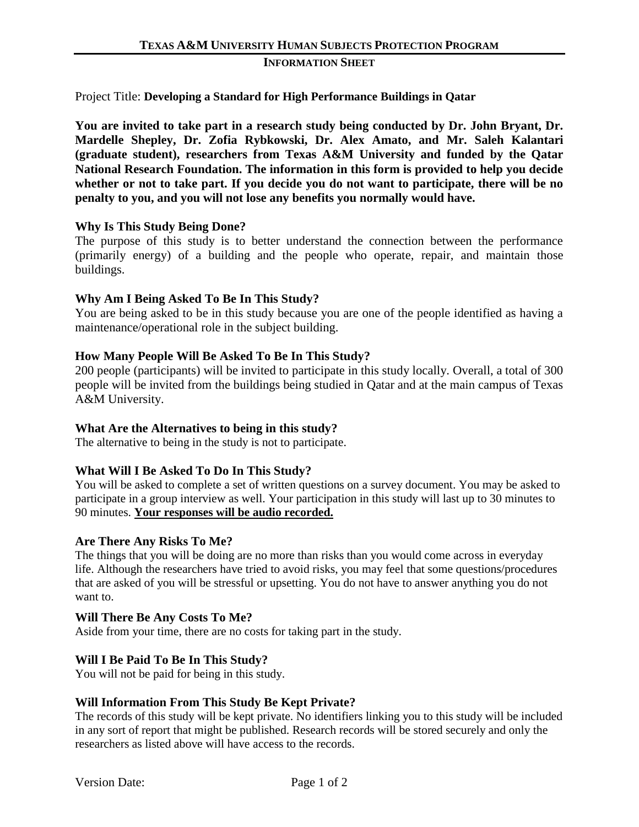#### **INFORMATION SHEET**

### Project Title: **Developing a Standard for High Performance Buildings in Qatar**

**You are invited to take part in a research study being conducted by Dr. John Bryant, Dr. Mardelle Shepley, Dr. Zofia Rybkowski, Dr. Alex Amato, and Mr. Saleh Kalantari (graduate student), researchers from Texas A&M University and funded by the Qatar National Research Foundation. The information in this form is provided to help you decide whether or not to take part. If you decide you do not want to participate, there will be no penalty to you, and you will not lose any benefits you normally would have.**

## **Why Is This Study Being Done?**

The purpose of this study is to better understand the connection between the performance (primarily energy) of a building and the people who operate, repair, and maintain those buildings.

## **Why Am I Being Asked To Be In This Study?**

You are being asked to be in this study because you are one of the people identified as having a maintenance/operational role in the subject building.

## **How Many People Will Be Asked To Be In This Study?**

200 people (participants) will be invited to participate in this study locally. Overall, a total of 300 people will be invited from the buildings being studied in Qatar and at the main campus of Texas A&M University.

### **What Are the Alternatives to being in this study?**

The alternative to being in the study is not to participate.

### **What Will I Be Asked To Do In This Study?**

You will be asked to complete a set of written questions on a survey document. You may be asked to participate in a group interview as well. Your participation in this study will last up to 30 minutes to 90 minutes. **Your responses will be audio recorded.**

### **Are There Any Risks To Me?**

The things that you will be doing are no more than risks than you would come across in everyday life. Although the researchers have tried to avoid risks, you may feel that some questions/procedures that are asked of you will be stressful or upsetting. You do not have to answer anything you do not want to.

### **Will There Be Any Costs To Me?**

Aside from your time, there are no costs for taking part in the study.

### **Will I Be Paid To Be In This Study?**

You will not be paid for being in this study.

### **Will Information From This Study Be Kept Private?**

The records of this study will be kept private. No identifiers linking you to this study will be included in any sort of report that might be published. Research records will be stored securely and only the researchers as listed above will have access to the records.